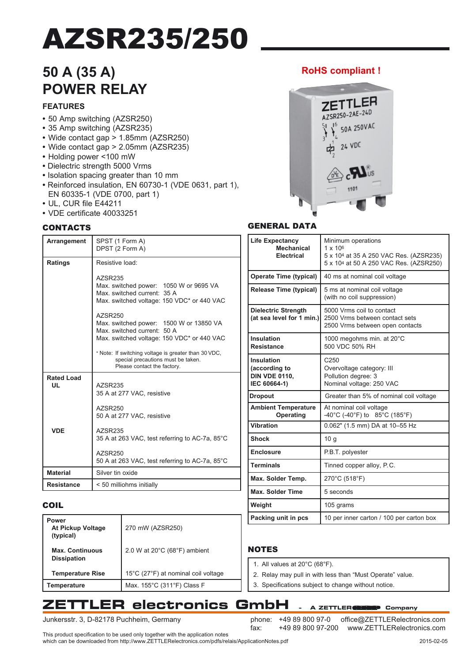# AZSR235/250

## **50 A (35 A) POWER RELAY**

#### **FEATURES**

- **•** 50 Amp switching (AZSR250)
- **•** 35 Amp switching (AZSR235)
- **•** Wide contact gap > 1.85mm (AZSR250)
- **•** Wide contact gap > 2.05mm (AZSR235)
- **•** Holding power <100 mW
- Dielectric strength 5000 Vrms
- Isolation spacing greater than 10 mm
- **•** Reinforced insulation, EN 60730-1 (VDE 0631, part 1), EN 60335-1 (VDE 0700, part 1)
- **•** UL, CUR file E44211
- **•** VDE certificate 40033251

#### **CONTACTS**

| Arrangement                                    | SPST (1 Form A)  | DPST (2 Form A)                                                                                                                                                                                                               | <b>Life Expectancy</b><br><b>Mechanical</b><br><b>Electrical</b>                                        |                              |  |
|------------------------------------------------|------------------|-------------------------------------------------------------------------------------------------------------------------------------------------------------------------------------------------------------------------------|---------------------------------------------------------------------------------------------------------|------------------------------|--|
| Ratings                                        | Resistive load:  |                                                                                                                                                                                                                               |                                                                                                         | 5x<br>5 x                    |  |
|                                                | AZSR235          |                                                                                                                                                                                                                               | <b>Operate Time (typical)</b>                                                                           | 40                           |  |
|                                                |                  | Max. switched power: 1050 W or 9695 VA<br>Max. switched current: 35 A<br>Max. switched voltage: 150 VDC* or 440 VAC                                                                                                           | <b>Release Time (typical)</b>                                                                           | 5n<br>(wi                    |  |
|                                                | AZSR250          | Max. switched power: 1500 W or 13850 VA<br>Max. switched current: 50 A                                                                                                                                                        | <b>Dielectric Strength</b><br>(at sea level for 1 min.)                                                 | 50<br>250<br>25 <sub>0</sub> |  |
|                                                |                  | Max. switched voltage: 150 VDC* or 440 VAC<br>* Note: If switching voltage is greater than 30 VDC,                                                                                                                            | <b>Insulation</b><br><b>Resistance</b>                                                                  | 10<br>50                     |  |
| <b>Rated Load</b>                              |                  | special precautions must be taken.<br>Please contact the factory.                                                                                                                                                             | Insulation<br>C <sub>2</sub><br>Ov<br>(according to<br><b>DIN VDE 0110,</b><br>Po<br>IEC 60664-1)<br>No |                              |  |
| UL                                             | AZSR235          | 35 A at 277 VAC, resistive                                                                                                                                                                                                    | <b>Dropout</b>                                                                                          |                              |  |
|                                                | AZSR250          | 50 A at 277 VAC, resistive                                                                                                                                                                                                    | <b>Ambient Temperature</b><br>Operating                                                                 | Gr<br>At<br>$-40$            |  |
| <b>VDE</b>                                     |                  |                                                                                                                                                                                                                               | <b>Vibration</b>                                                                                        | 0.0                          |  |
|                                                | AZSR235          | 35 A at 263 VAC, test referring to AC-7a, 85°C                                                                                                                                                                                | <b>Shock</b>                                                                                            |                              |  |
|                                                | AZSR250          |                                                                                                                                                                                                                               | <b>Enclosure</b>                                                                                        | P.E                          |  |
| 50 A at 263 VAC, test referring to AC-7a, 85°C |                  |                                                                                                                                                                                                                               | <b>Terminals</b>                                                                                        | Tin                          |  |
| <b>Material</b>                                | Silver tin oxide |                                                                                                                                                                                                                               | Max. Solder Temp.<br>27(                                                                                |                              |  |
| < 50 milliohms initially<br><b>Resistance</b>  |                  |                                                                                                                                                                                                                               | <b>Max. Solder Time</b><br>5 <sub>s</sub>                                                               |                              |  |
| COIL                                           |                  |                                                                                                                                                                                                                               | Weight                                                                                                  | 10 <sub>5</sub>              |  |
| <b>Power</b><br>At Pickup Voltage<br>(typical) |                  | 270 mW (AZSR250)                                                                                                                                                                                                              | Packing unit in pcs                                                                                     | 10                           |  |
| <b>Max. Continuous</b><br><b>Dissipation</b>   |                  | 2.0 W at $20^{\circ}$ C (68 $^{\circ}$ F) ambient                                                                                                                                                                             | <b>NOTES</b>                                                                                            |                              |  |
| <b>Temperature Rise</b>                        |                  | 15°C (27°F) at nominal coil voltage                                                                                                                                                                                           | 1. All values at 20°C (68°F).<br>2. Relay may pull in with les                                          |                              |  |
| Temperature                                    |                  | Max. 155°C (311°F) Class F                                                                                                                                                                                                    | 3. Specifications subject to                                                                            |                              |  |
|                                                |                  | <b>FLER electronics</b>                                                                                                                                                                                                       | GmbH                                                                                                    | A ZET                        |  |
|                                                |                  | Junkersstr. 3, D-82178 Puchheim, Germany<br>This product specification to be used only together with the application notes<br>which can be downloaded from http://www.ZETTLERelectronics.com/pdfs/relais/ApplicationNotes.pdf | +49 89 800 97-0<br>phone:<br>fax:<br>+49 89 800 97-20                                                   |                              |  |
|                                                |                  |                                                                                                                                                                                                                               |                                                                                                         |                              |  |

### **RoHS compliant !**



#### GENERAL DATA

| <b>Life Expectancy</b><br><b>Mechanical</b><br><b>Electrical</b>    | Minimum operations<br>$1 \times 10^6$<br>5 x 10 <sup>4</sup> at 35 A 250 VAC Res. (AZSR235)<br>5 x 104 at 50 A 250 VAC Res. (AZSR250) |
|---------------------------------------------------------------------|---------------------------------------------------------------------------------------------------------------------------------------|
| <b>Operate Time (typical)</b>                                       | 40 ms at nominal coil voltage                                                                                                         |
| <b>Release Time (typical)</b>                                       | 5 ms at nominal coil voltage<br>(with no coil suppression)                                                                            |
| <b>Dielectric Strength</b><br>(at sea level for 1 min.)             | 5000 Vrms coil to contact<br>2500 Vrms between contact sets<br>2500 Vrms between open contacts                                        |
| Insulation<br><b>Resistance</b>                                     | 1000 megohms min. at 20°C<br>500 VDC 50% RH                                                                                           |
| Insulation<br>(according to<br><b>DIN VDE 0110,</b><br>IEC 60664-1) | C <sub>250</sub><br>Overvoltage category: III<br>Pollution degree: 3<br>Nominal voltage: 250 VAC                                      |
| <b>Dropout</b>                                                      | Greater than 5% of nominal coil voltage                                                                                               |
| <b>Ambient Temperature</b><br>Operating                             | At nominal coil voltage<br>$-40^{\circ}$ C (-40 $^{\circ}$ F) to 85 $^{\circ}$ C (185 $^{\circ}$ F)                                   |
| <b>Vibration</b>                                                    | 0.062" (1.5 mm) DA at 10-55 Hz                                                                                                        |
| <b>Shock</b>                                                        | 10 <sub>q</sub>                                                                                                                       |
| <b>Enclosure</b>                                                    | P.B.T. polyester                                                                                                                      |
| <b>Terminals</b>                                                    | Tinned copper alloy, P.C.                                                                                                             |
| Max. Solder Temp.                                                   | 270°C (518°F)                                                                                                                         |
| <b>Max. Solder Time</b>                                             | 5 seconds                                                                                                                             |
| Weight                                                              | 105 grams                                                                                                                             |
| Packing unit in pcs                                                 | 10 per inner carton / 100 per carton box                                                                                              |

### COIL

| Power<br>At Pickup Voltage<br>(typical)      | 270 mW (AZSR250)                    |
|----------------------------------------------|-------------------------------------|
| <b>Max. Continuous</b><br><b>Dissipation</b> | 2.0 W at 20°C (68°F) ambient        |
| <b>Temperature Rise</b>                      | 15°C (27°F) at nominal coil voltage |
| Temperature                                  | Max. 155°C (311°F) Class F          |

#### **NOTES**

- 1. All values at 20°C (68°F).
- 2. Relay may pull in with less than "Must Operate" value.
- 3. Specifications subject to change without notice.

### **ZETTLER electronics GmbH**

fax: +49 89 800 97-200 office@ZETTLERelectronics.com

- A ZETTLER **GROUP** Company